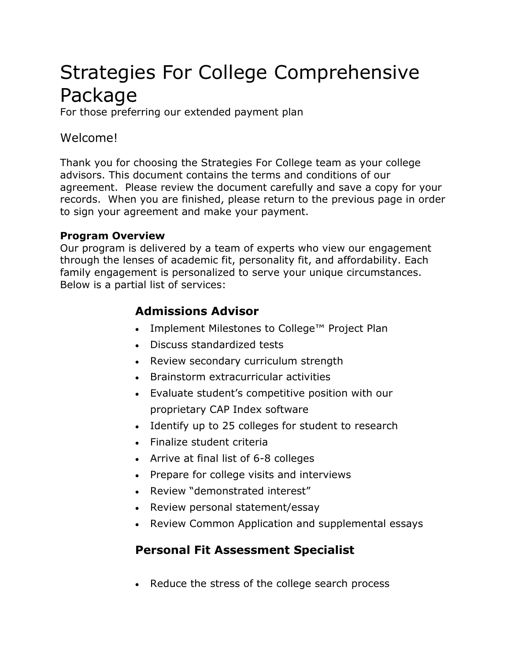# Strategies For College Comprehensive Package

For those preferring our extended payment plan

## Welcome!

Thank you for choosing the Strategies For College team as your college advisors. This document contains the terms and conditions of our agreement. Please review the document carefully and save a copy for your records. When you are finished, please return to the previous page in order to sign your agreement and make your payment.

#### **Program Overview**

Our program is delivered by a team of experts who view our engagement through the lenses of academic fit, personality fit, and affordability. Each family engagement is personalized to serve your unique circumstances. Below is a partial list of services:

## **Admissions Advisor**

- Implement Milestones to College™ Project Plan
- Discuss standardized tests
- Review secondary curriculum strength
- Brainstorm extracurricular activities
- Evaluate student's competitive position with our proprietary CAP Index software
- Identify up to 25 colleges for student to research
- Finalize student criteria
- Arrive at final list of 6-8 colleges
- Prepare for college visits and interviews
- Review "demonstrated interest"
- Review personal statement/essay
- Review Common Application and supplemental essays

# **Personal Fit Assessment Specialist**

• Reduce the stress of the college search process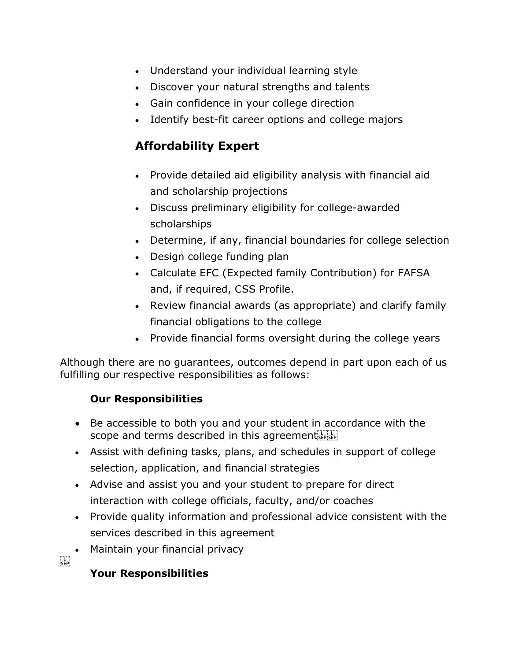- Understand your individual learning style
- Discover your natural strengths and talents
- Gain confidence in your college direction
- Identify best-fit career options and college majors

## **Affordability Expert**

- Provide detailed aid eligibility analysis with financial aid and scholarship projections
- Discuss preliminary eligibility for college-awarded scholarships
- Determine, if any, financial boundaries for college selection
- Design college funding plan
- Calculate EFC (Expected family Contribution) for FAFSA and, if required, CSS Profile.
- Review financial awards (as appropriate) and clarify family financial obligations to the college
- Provide financial forms oversight during the college years

Although there are no guarantees, outcomes depend in part upon each of us fulfilling our respective responsibilities as follows:

#### **Our Responsibilities**

- Be accessible to both you and your student in accordance with the scope and terms described in this agreementsEPISEP!
- Assist with defining tasks, plans, and schedules in support of college selection, application, and financial strategies
- Advise and assist you and your student to prepare for direct interaction with college officials, faculty, and/or coaches
- Provide quality information and professional advice consistent with the services described in this agreement
- Maintain your financial privacy

**P**<br>[SEP]

#### **Your Responsibilities**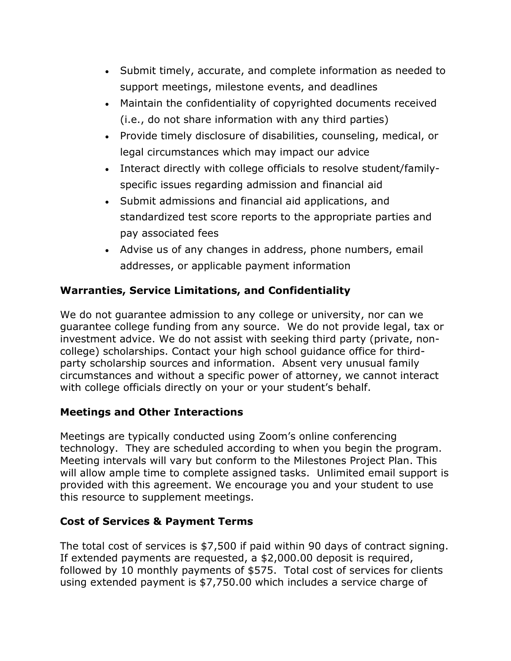- Submit timely, accurate, and complete information as needed to support meetings, milestone events, and deadlines
- Maintain the confidentiality of copyrighted documents received (i.e., do not share information with any third parties)
- Provide timely disclosure of disabilities, counseling, medical, or legal circumstances which may impact our advice
- Interact directly with college officials to resolve student/familyspecific issues regarding admission and financial aid
- Submit admissions and financial aid applications, and standardized test score reports to the appropriate parties and pay associated fees
- Advise us of any changes in address, phone numbers, email addresses, or applicable payment information

### **Warranties, Service Limitations, and Confidentiality**

We do not quarantee admission to any college or university, nor can we guarantee college funding from any source. We do not provide legal, tax or investment advice. We do not assist with seeking third party (private, noncollege) scholarships. Contact your high school guidance office for thirdparty scholarship sources and information. Absent very unusual family circumstances and without a specific power of attorney, we cannot interact with college officials directly on your or your student's behalf.

#### **Meetings and Other Interactions**

Meetings are typically conducted using Zoom's online conferencing technology. They are scheduled according to when you begin the program. Meeting intervals will vary but conform to the Milestones Project Plan. This will allow ample time to complete assigned tasks. Unlimited email support is provided with this agreement. We encourage you and your student to use this resource to supplement meetings.

#### **Cost of Services & Payment Terms**

The total cost of services is \$7,500 if paid within 90 days of contract signing. If extended payments are requested, a \$2,000.00 deposit is required, followed by 10 monthly payments of \$575. Total cost of services for clients using extended payment is \$7,750.00 which includes a service charge of